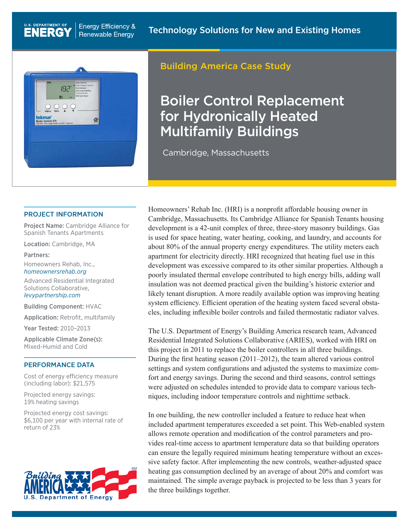

U.S. DEPARTMENT OF

**ENERG** 

## Building America Case Study

# Boiler Control Replacement for Hydronically Heated Multifamily Buildings

Cambridge, Massachusetts

#### PROJECT INFORMATION

Project Name: Cambridge Alliance for Spanish Tenants Apartments

Location: Cambridge, MA

Partners:

Homeowners Rehab, Inc., *[homeownersrehab.org](http://homeownersrehab.org/)*

Advanced Residential Integrated Solutions Collaborative, *[levypartnership.com](http://levypartnership.com/)*

Building Component: HVAC

Application: Retrofit, multifamily

Year Tested: 2010–2013

Applicable Climate Zone(s): Mixed-Humid and Cold

#### PERFORMANCE DATA

Cost of energy efficiency measure (including labor): \$21,575

Projected energy savings: 19% heating savings

Projected energy cost savings: \$6,100 per year with internal rate of return of 23%



Homeowners' Rehab Inc. (HRI) is a nonprofit affordable housing owner in Cambridge, Massachusetts. Its Cambridge Alliance for Spanish Tenants housing development is a 42-unit complex of three, three-story masonry buildings. Gas is used for space heating, water heating, cooking, and laundry, and accounts for about 80% of the annual property energy expenditures. The utility meters each apartment for electricity directly. HRI recognized that heating fuel use in this development was excessive compared to its other similar properties. Although a poorly insulated thermal envelope contributed to high energy bills, adding wall insulation was not deemed practical given the building's historic exterior and likely tenant disruption. A more readily available option was improving heating system efficiency. Efficient operation of the heating system faced several obstacles, including inflexible boiler controls and failed thermostatic radiator valves.

The U.S. Department of Energy's Building America research team, Advanced Residential Integrated Solutions Collaborative (ARIES), worked with HRI on this project in 2011 to replace the boiler controllers in all three buildings. During the first heating season (2011–2012), the team altered various control settings and system configurations and adjusted the systems to maximize comfort and energy savings. During the second and third seasons, control settings were adjusted on schedules intended to provide data to compare various techniques, including indoor temperature controls and nighttime setback.

In one building, the new controller included a feature to reduce heat when included apartment temperatures exceeded a set point. This Web-enabled system allows remote operation and modification of the control parameters and provides real-time access to apartment temperature data so that building operators can ensure the legally required minimum heating temperature without an excessive safety factor. After implementing the new controls, weather-adjusted space heating gas consumption declined by an average of about 20% and comfort was maintained. The simple average payback is projected to be less than 3 years for the three buildings together.